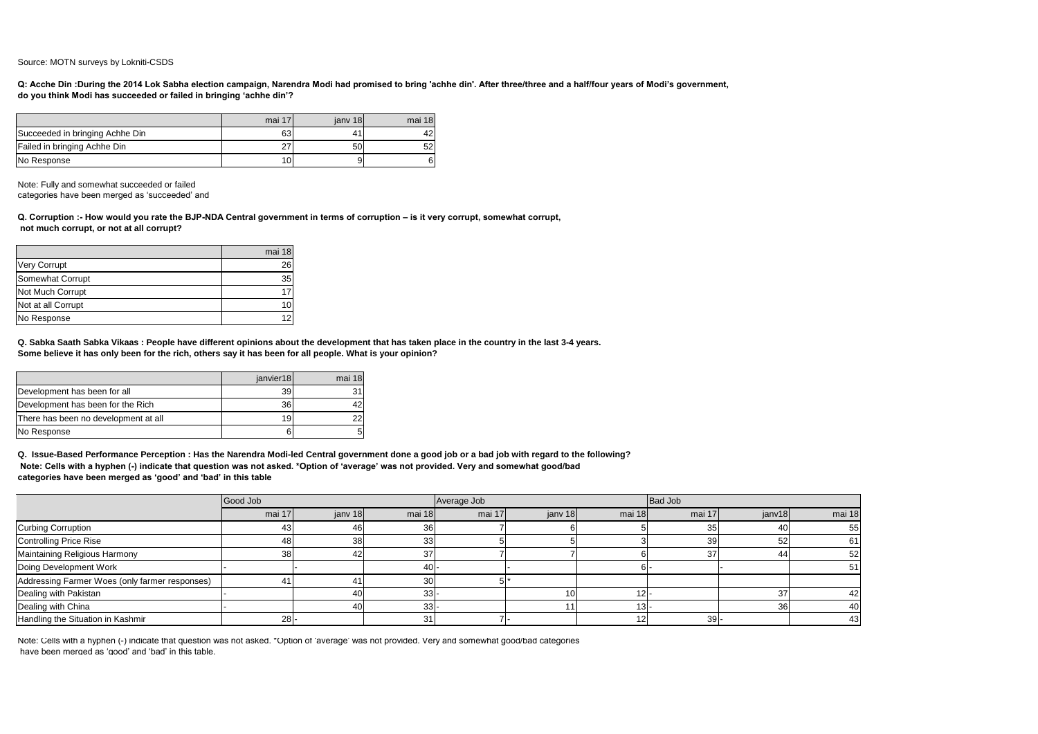Source: MOTN surveys by Lokniti-CSDS

|                                 | mai 17          | iany 18 | mai 18 |
|---------------------------------|-----------------|---------|--------|
| Succeeded in bringing Achhe Din | 63              |         | 42     |
| Failed in bringing Achhe Din    | 27              | 50      | 52     |
| No Response                     | 10 <sup>1</sup> | 91      | 6      |

Note: Fully and somewhat succeeded or failed

categories have been merged as 'succeeded' and

|                     | mai 18 |
|---------------------|--------|
| <b>Very Corrupt</b> | 26     |
| Somewhat Corrupt    | 35     |
| Not Much Corrupt    |        |
| Not at all Corrupt  | 10     |
| No Response         | 12     |

|                                      | janvier18 | mai 18 |
|--------------------------------------|-----------|--------|
| Development has been for all         | 39        |        |
| Development has been for the Rich    | 36l       |        |
| There has been no development at all | 191       |        |
| No Response                          |           |        |

|                                                | Good Job |                 |                 | Average Job |           |                | <b>Bad Job</b> |                 |        |
|------------------------------------------------|----------|-----------------|-----------------|-------------|-----------|----------------|----------------|-----------------|--------|
|                                                | mai 17   | janv 18         | mai 18 $\vert$  | mai 17      | jany $18$ | mai 18 $\vert$ | mai 17         | janv18          | mai 18 |
| Curbing Corruption                             | 431      | 46I             | 36              |             |           |                | 35             | 40I             | 55     |
| Controlling Price Rise                         | 48       | 38 <sup>l</sup> | 33              |             |           |                | 39             | 52              | 61     |
| Maintaining Religious Harmony                  | 38       | 42              | 37              |             |           |                | 37             | 44              | 52     |
| Doing Development Work                         |          |                 | $40$ .          |             |           | 61-            |                |                 | 51!    |
| Addressing Farmer Woes (only farmer responses) |          |                 | 30 <sub>l</sub> |             |           |                |                |                 |        |
| Dealing with Pakistan                          |          | 401             | 33 <sup>1</sup> |             |           |                |                | -37             | 42     |
| Dealing with China                             |          | 40              | 33              |             |           | -13I-          |                | 36 <sup>l</sup> | 40     |
| Handling the Situation in Kashmir              | 28       |                 | 31              |             |           |                | $39$ -         |                 | 43     |

**Q: Acche Din :During the 2014 Lok Sabha election campaign, Narendra Modi had promised to bring 'achhe din'. After three/three and a half/four years of Modi's government, do you think Modi has succeeded or failed in bringing 'achhe din'?**

**Q. Corruption :- How would you rate the BJP-NDA Central government in terms of corruption – is it very corrupt, somewhat corrupt, not much corrupt, or not at all corrupt?** 

**Q. Sabka Saath Sabka Vikaas : People have different opinions about the development that has taken place in the country in the last 3-4 years. Some believe it has only been for the rich, others say it has been for all people. What is your opinion?** 

**Q. Issue-Based Performance Perception : Has the Narendra Modi-led Central government done a good job or a bad job with regard to the following? Note: Cells with a hyphen (-) indicate that question was not asked. \*Option of 'average' was not provided. Very and somewhat good/bad categories have been merged as 'good' and 'bad' in this table** 

Note: Cells with a hyphen (-) indicate that question was not asked. \*Option of 'average' was not provided. Very and somewhat good/bad categories have been merged as 'good' and 'bad' in this table.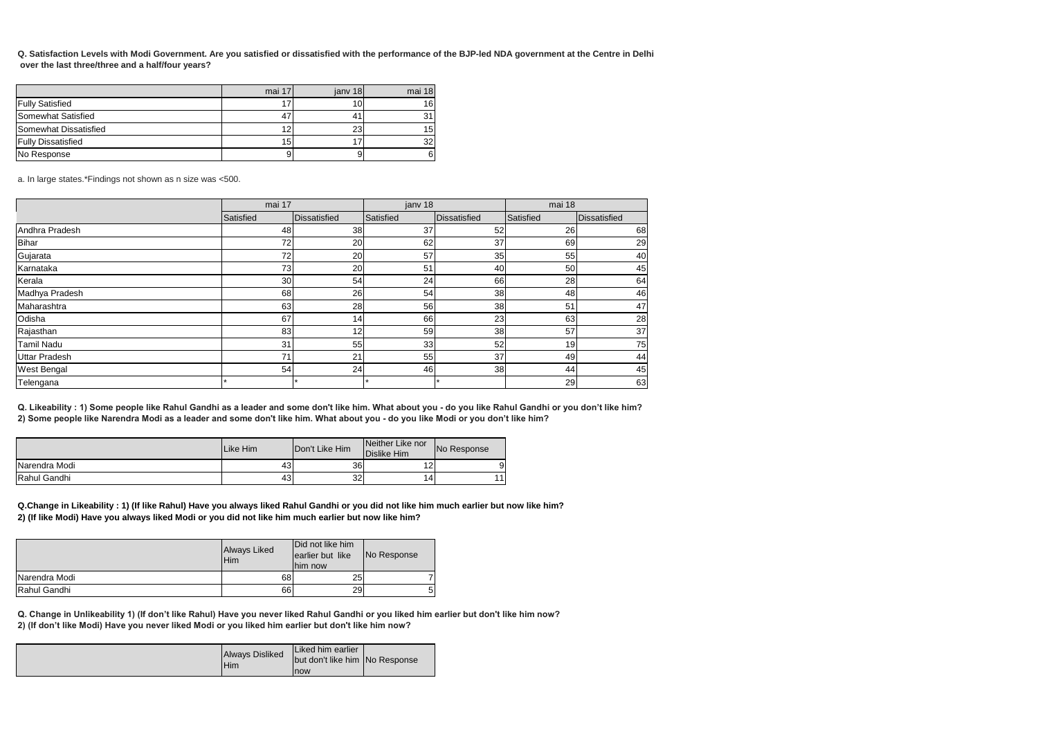|                           | mai 17 | jany 18 | mai 18 |
|---------------------------|--------|---------|--------|
| <b>Fully Satisfied</b>    |        |         | 16     |
| Somewhat Satisfied        | 47     |         | 31     |
| Somewhat Dissatisfied     | 12     | 23      | 15     |
| <b>Fully Dissatisfied</b> | 15     |         | 32     |
| No Response               |        |         | 6      |

|                      | mai 17    |              | janv 18   |                     | mai 18    |                     |
|----------------------|-----------|--------------|-----------|---------------------|-----------|---------------------|
|                      | Satisfied | Dissatisfied | Satisfied | <b>Dissatisfied</b> | Satisfied | <b>Dissatisfied</b> |
| Andhra Pradesh       | 48        | 38           | 37        | 52                  | 26        | 68                  |
| Bihar                | 72        | 20           | 62        | 37                  | 69        | 29                  |
| Gujarata             | 72        | 20           | 57        | 35                  | 55        | 40                  |
| Karnataka            | 73        | 20           | 51        | 40                  | 50        | 45                  |
| Kerala               | 30        | 54           | 24        | 66                  | 28        | 64                  |
| Madhya Pradesh       | 68        | 26           | 54        | 38                  | 48        | 46                  |
| Maharashtra          | 63        | 28           | 56        | 38                  | 51        | 47                  |
| Odisha               | 67        | 14           | 66        | 23                  | 63        | 28                  |
| Rajasthan            | 83        | 12           | 59        | 38                  | 57        | 37                  |
| Tamil Nadu           | 31        | 55           | 33        | 52                  | 19        | 75                  |
| <b>Uttar Pradesh</b> | 71        | 21           | 55        | 37                  | 49        | 44                  |
| <b>West Bengal</b>   | 54        | 24           | 46        | 38                  | 44        | 45                  |
| Telengana            |           |              |           |                     | 29        | 63                  |

|               | Like Him | Don't Like Him | Neither Like nor<br>Dislike Him | No Response |
|---------------|----------|----------------|---------------------------------|-------------|
| Narendra Modi | 43       | 36             | ^<br>. L .                      |             |
| Rahul Gandhi  | 43       | 32             | 14                              |             |

|               | <b>Always Liked</b><br>Him | Did not like him<br>earlier but like<br>Ihim now | No Response |
|---------------|----------------------------|--------------------------------------------------|-------------|
| Narendra Modi | 68                         | 25                                               |             |
| Rahul Gandhi  | 66                         | <b>29I</b>                                       |             |

| Always Disliked<br>Him | Liked him earlier<br>but don't like him No Response<br>Inow |
|------------------------|-------------------------------------------------------------|
|------------------------|-------------------------------------------------------------|

**Q. Satisfaction Levels with Modi Government. Are you satisfied or dissatisfied with the performance of the BJP-led NDA government at the Centre in Delhi over the last three/three and a half/four years?**

a. In large states.\*Findings not shown as n size was <500.

**Q. Likeability : 1) Some people like Rahul Gandhi as a leader and some don't like him. What about you - do you like Rahul Gandhi or you don't like him? 2) Some people like Narendra Modi as a leader and some don't like him. What about you - do you like Modi or you don't like him?**

**Q.Change in Likeability : 1) (If like Rahul) Have you always liked Rahul Gandhi or you did not like him much earlier but now like him? 2) (If like Modi) Have you always liked Modi or you did not like him much earlier but now like him?**

**Q. Change in Unlikeability 1) (If don't like Rahul) Have you never liked Rahul Gandhi or you liked him earlier but don't like him now? 2) (If don't like Modi) Have you never liked Modi or you liked him earlier but don't like him now?**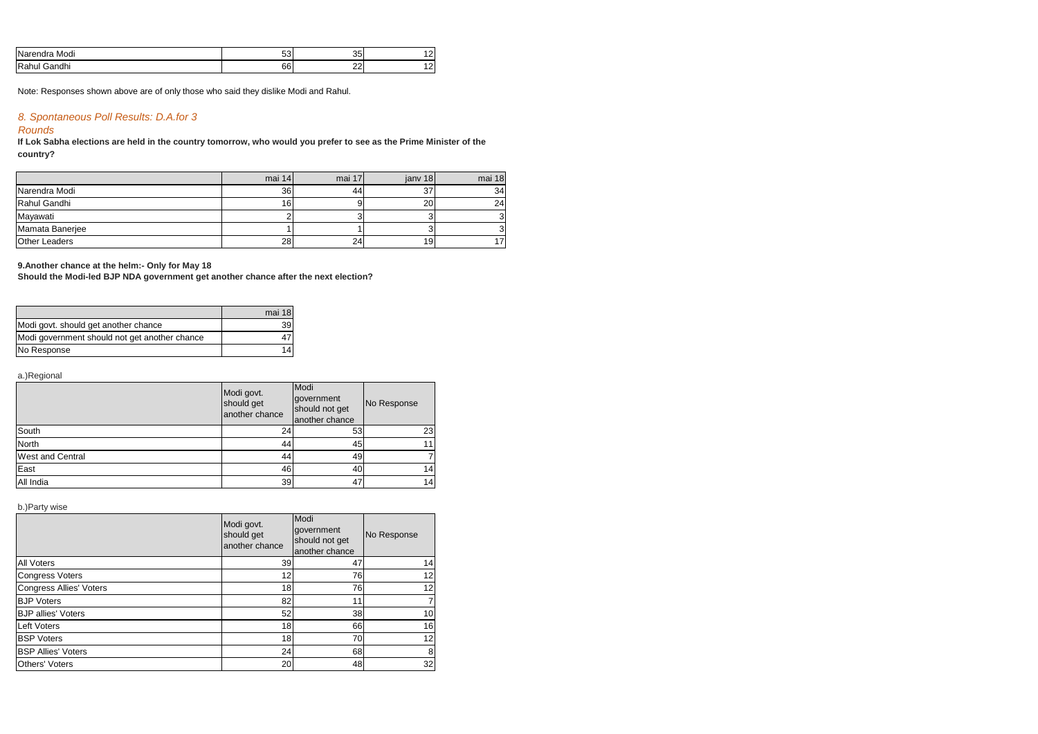| <b>INa</b><br>Modi<br>$-1$<br>ы<br>$ -$ | --<br>וטט | っこ<br>ູບບາ        |     |
|-----------------------------------------|-----------|-------------------|-----|
| IRa<br><br>. ur<br>num<br>ниг<br>۰a۱    | 66        | $\Omega$<br>$- -$ | . . |

# *8. Spontaneous Poll Results: D.A.for 3*

## *Rounds*

|                      | mai 14          | mai 17 | jany 18         | mai 18 |
|----------------------|-----------------|--------|-----------------|--------|
| Narendra Modi        | 36              | 44     | 37              | 34     |
| Rahul Gandhi         | 16              |        | 20 <sub>1</sub> | 24     |
| Mayawati             |                 |        |                 |        |
| Mamata Banerjee      |                 |        |                 |        |
| <b>Other Leaders</b> | 28 <sub>l</sub> | 24′    | 19              |        |

|                                               | mai 18 |
|-----------------------------------------------|--------|
| Modi govt. should get another chance          |        |
| Modi government should not get another chance |        |
| No Response                                   |        |

a.)Regional

|                         | Modi govt.<br>should get<br>another chance | Modi<br>government<br>should not get<br>another chance | No Response |
|-------------------------|--------------------------------------------|--------------------------------------------------------|-------------|
| South                   | 24                                         | 53                                                     | 23          |
| North                   | 44                                         | 45                                                     |             |
| <b>West and Central</b> | 44                                         | 49                                                     |             |
| East                    | 46                                         | 40                                                     | 14.         |
| All India               | 39                                         | 47                                                     | 14          |

b.)Party wise

**country? If Lok Sabha elections are held in the country tomorrow, who would you prefer to see as the Prime Minister of the**

|                                | Modi govt.<br>should get<br>another chance | Modi<br>government<br>should not get<br>another chance | No Response     |
|--------------------------------|--------------------------------------------|--------------------------------------------------------|-----------------|
| <b>All Voters</b>              | 39                                         | 47                                                     | 14              |
| <b>Congress Voters</b>         | 12                                         | 76                                                     | 12              |
| <b>Congress Allies' Voters</b> | 18                                         | 76                                                     | 12              |
| <b>BJP Voters</b>              | 82                                         | 11                                                     |                 |
| <b>BJP</b> allies' Voters      | 52                                         | 38                                                     | 10 <sup>1</sup> |
| <b>Left Voters</b>             | 18                                         | 66                                                     | 16              |
| <b>BSP Voters</b>              | 18                                         | 70                                                     | 12 <sup>1</sup> |
| <b>BSP Allies' Voters</b>      | 24                                         | 68                                                     | 8               |
| <b>Others' Voters</b>          | 20                                         | 48                                                     | 32              |

Note: Responses shown above are of only those who said they dislike Modi and Rahul.

#### **9.Another chance at the helm:- Only for May 18**

**Should the Modi-led BJP NDA government get another chance after the next election?**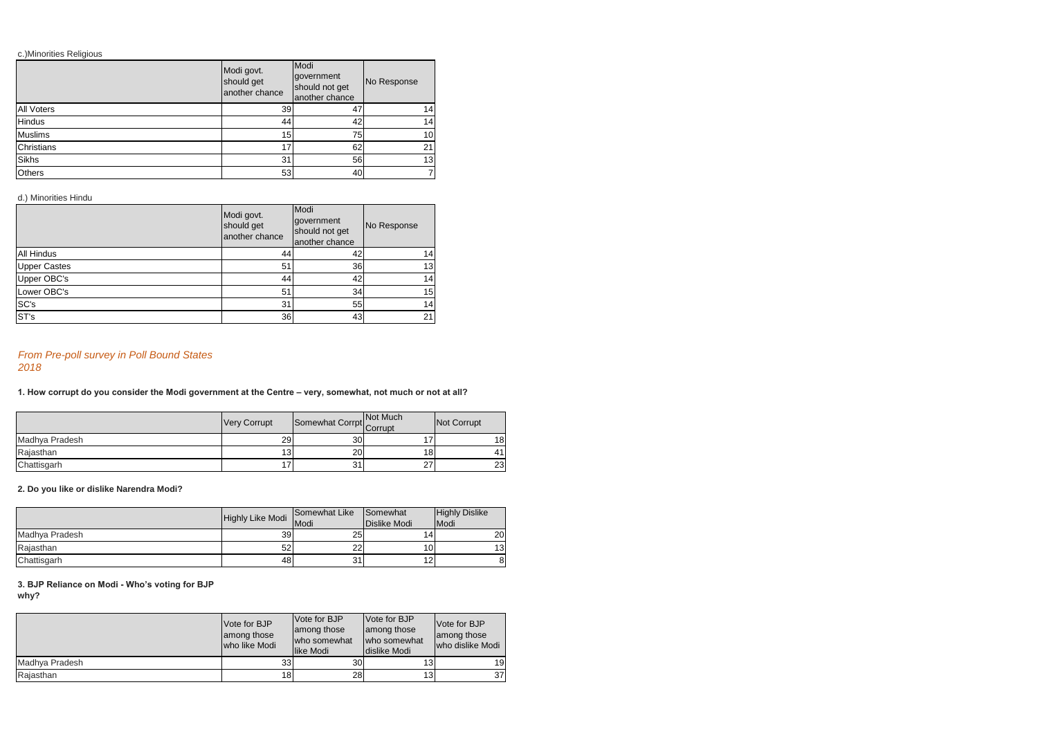### c.)Minorities Religious

|                   | Modi govt.<br>should get<br>another chance | Modi<br>government<br>should not get<br>another chance | No Response |
|-------------------|--------------------------------------------|--------------------------------------------------------|-------------|
| <b>All Voters</b> | 39                                         | 47                                                     | 141         |
| <b>Hindus</b>     | 44                                         | 42                                                     | 14)         |
| Muslims           | 15                                         | 75                                                     | 10I         |
| Christians        | 17                                         | 62                                                     | 21          |
| Sikhs             | 31                                         | 56                                                     | 13          |
| <b>Others</b>     | 53                                         | 40                                                     |             |

### d.) Minorities Hindu

|                     | Modi govt.<br>should get<br>another chance | Modi<br>government<br>No Response<br>should not get<br>another chance |                 |
|---------------------|--------------------------------------------|-----------------------------------------------------------------------|-----------------|
| All Hindus          | 44                                         | 42                                                                    | 14              |
| <b>Upper Castes</b> | 51                                         | 36                                                                    | 13              |
| Upper OBC's         | 44                                         | 42                                                                    | 14              |
| Lower OBC's         | 51                                         | 34                                                                    | 15              |
| SC's                | 31                                         | 55                                                                    | 14 <sub>1</sub> |
| STs                 | 36                                         | 43                                                                    | 21              |

## *From Pre-poll survey in Poll Bound States 2018*

|                | <b>Very Corrupt</b> | Somewhat Corrpt Not Much |                 | Not Corrupt     |
|----------------|---------------------|--------------------------|-----------------|-----------------|
| Madhya Pradesh | 29                  | 30 <sub>l</sub>          |                 | 18 <sup>1</sup> |
| Rajasthan      | ּ<br>اک             | 20                       | 18 <sub>l</sub> | 41              |
| Chattisgarh    |                     | 31                       | 27              | 23              |

### **2. Do you like or dislike Narendra Modi?**

|                | <b>Highly Like Modi</b> | <b>Somewhat Like</b><br><b>I</b> Modi | <b>I</b> Somewhat<br><b>IDislike Modi</b> | <b>Highly Dislike</b><br><b>I</b> Modi |
|----------------|-------------------------|---------------------------------------|-------------------------------------------|----------------------------------------|
| Madhya Pradesh | 39                      | 25                                    |                                           | 20 <sup>1</sup>                        |
| Rajasthan      | 52                      | 22                                    | 10 <sub>1</sub>                           | 13 <sup>l</sup>                        |
| Chattisgarh    | 48                      | 31                                    |                                           |                                        |

#### **3. BJP Reliance on Modi - Who's voting for BJP why?**

|                | Vote for BJP<br>among those<br>who like Modi | Vote for BJP<br>among those<br>Iwho somewhat<br><b>Ilike Modi</b> | <b>Vote for BJP</b><br>among those<br>who somewhat<br><b>I</b> dislike Modi | Vote for BJP<br>among those<br>who dislike Modi |
|----------------|----------------------------------------------|-------------------------------------------------------------------|-----------------------------------------------------------------------------|-------------------------------------------------|
| Madhya Pradesh | 33                                           | 30l                                                               |                                                                             | 19                                              |
| Rajasthan      | 18I                                          | 28                                                                | 131                                                                         | 37                                              |

**1. How corrupt do you consider the Modi government at the Centre – very, somewhat, not much or not at all?**